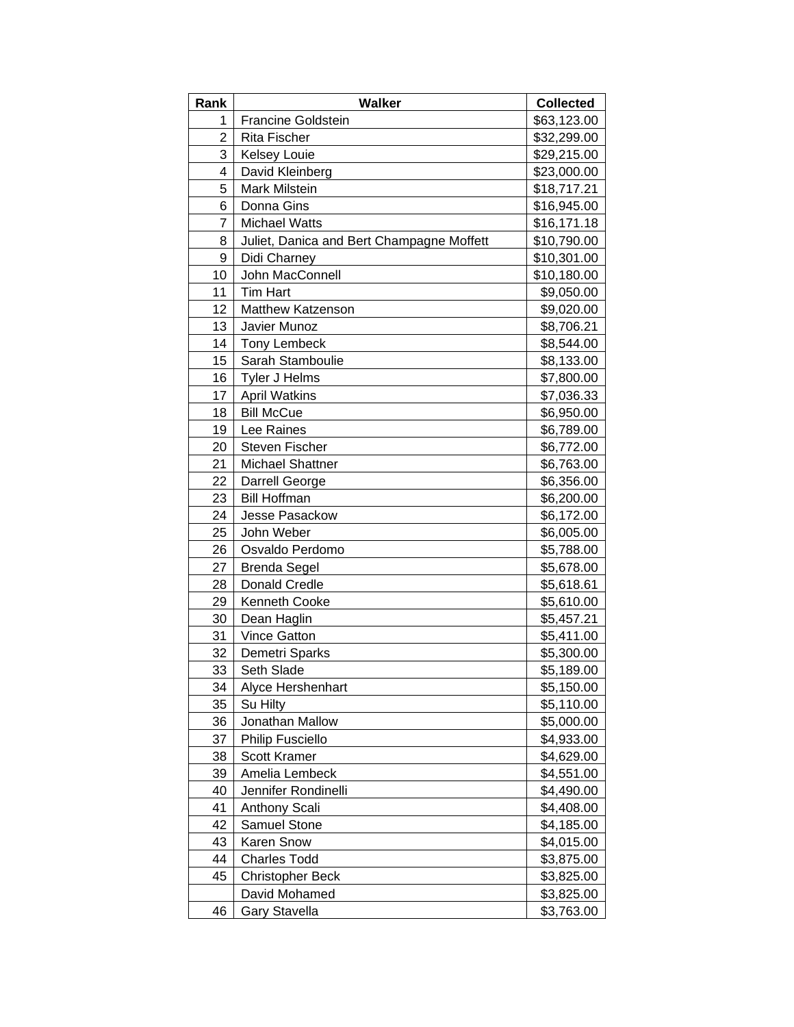| Rank           | Walker                                    | <b>Collected</b> |
|----------------|-------------------------------------------|------------------|
| 1              | <b>Francine Goldstein</b>                 | \$63,123.00      |
| $\overline{2}$ | Rita Fischer                              | \$32,299.00      |
| 3              | <b>Kelsey Louie</b>                       | \$29,215.00      |
| 4              | David Kleinberg                           | \$23,000.00      |
| 5              | Mark Milstein                             | \$18,717.21      |
| 6              | Donna Gins                                | \$16,945.00      |
| 7              | <b>Michael Watts</b>                      | \$16,171.18      |
| 8              | Juliet, Danica and Bert Champagne Moffett | \$10,790.00      |
| 9              | Didi Charney                              | \$10,301.00      |
| 10             | John MacConnell                           | \$10,180.00      |
| 11             | Tim Hart                                  | \$9,050.00       |
| 12             | <b>Matthew Katzenson</b>                  | \$9,020.00       |
| 13             | Javier Munoz                              | \$8,706.21       |
| 14             | <b>Tony Lembeck</b>                       | \$8,544.00       |
| 15             | Sarah Stamboulie                          | \$8,133.00       |
| 16             | <b>Tyler J Helms</b>                      | \$7,800.00       |
| 17             | <b>April Watkins</b>                      | \$7,036.33       |
| 18             | <b>Bill McCue</b>                         | \$6,950.00       |
| 19             | Lee Raines                                | \$6,789.00       |
| 20             | <b>Steven Fischer</b>                     | \$6,772.00       |
| 21             | <b>Michael Shattner</b>                   | \$6,763.00       |
| 22             | Darrell George                            | \$6,356.00       |
| 23             | <b>Bill Hoffman</b>                       | \$6,200.00       |
| 24             | Jesse Pasackow                            | \$6,172.00       |
| 25             | John Weber                                | \$6,005.00       |
| 26             | Osvaldo Perdomo                           | \$5,788.00       |
| 27             | <b>Brenda Segel</b>                       | \$5,678.00       |
| 28             | <b>Donald Credle</b>                      | \$5,618.61       |
| 29             | Kenneth Cooke                             | \$5,610.00       |
| 30             | Dean Haglin                               | \$5,457.21       |
| 31             | <b>Vince Gatton</b>                       | \$5,411.00       |
| 32             | Demetri Sparks                            | \$5,300.00       |
| 33             | Seth Slade                                | \$5,189.00       |
| 34             | Alyce Hershenhart                         | \$5,150.00       |
| 35             | Su Hilty                                  | \$5,110.00       |
| 36             | Jonathan Mallow                           | \$5,000.00       |
| 37             | Philip Fusciello                          | \$4,933.00       |
| 38             | <b>Scott Kramer</b>                       | \$4,629.00       |
| 39             | Amelia Lembeck                            | \$4,551.00       |
| 40             | Jennifer Rondinelli                       | \$4,490.00       |
| 41             | <b>Anthony Scali</b>                      | \$4,408.00       |
| 42             | Samuel Stone                              | \$4,185.00       |
| 43             | Karen Snow                                | \$4,015.00       |
| 44             | <b>Charles Todd</b>                       | \$3,875.00       |
| 45             | <b>Christopher Beck</b>                   | \$3,825.00       |
|                | David Mohamed                             | \$3,825.00       |
| 46             | <b>Gary Stavella</b>                      | \$3,763.00       |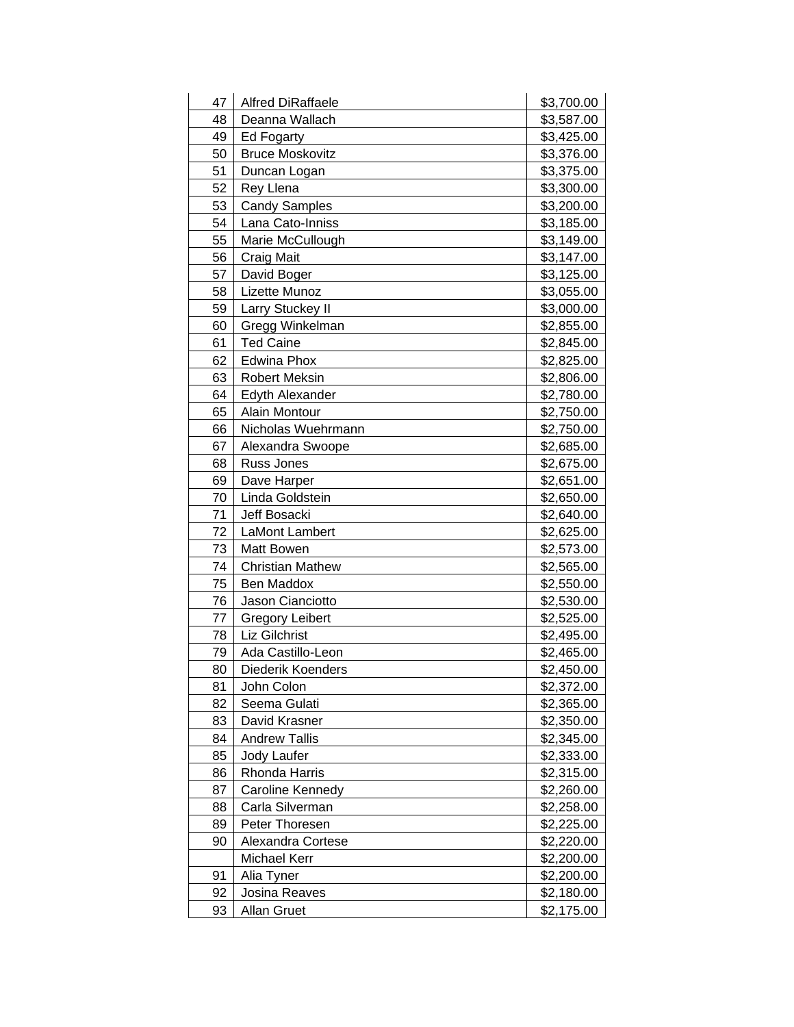| 47 | <b>Alfred DiRaffaele</b> | \$3,700.00 |
|----|--------------------------|------------|
| 48 | Deanna Wallach           | \$3,587.00 |
| 49 | Ed Fogarty               | \$3,425.00 |
| 50 | <b>Bruce Moskovitz</b>   | \$3,376.00 |
| 51 | Duncan Logan             | \$3,375.00 |
| 52 | Rey Llena                | \$3,300.00 |
| 53 | <b>Candy Samples</b>     | \$3,200.00 |
| 54 | Lana Cato-Inniss         | \$3,185.00 |
| 55 | Marie McCullough         | \$3,149.00 |
| 56 | Craig Mait               | \$3,147.00 |
| 57 | David Boger              | \$3,125.00 |
| 58 | Lizette Munoz            | \$3,055.00 |
| 59 | Larry Stuckey II         | \$3,000.00 |
| 60 | Gregg Winkelman          | \$2,855.00 |
| 61 | <b>Ted Caine</b>         | \$2,845.00 |
| 62 | Edwina Phox              | \$2,825.00 |
| 63 | <b>Robert Meksin</b>     | \$2,806.00 |
| 64 | <b>Edyth Alexander</b>   | \$2,780.00 |
| 65 | Alain Montour            | \$2,750.00 |
| 66 | Nicholas Wuehrmann       | \$2,750.00 |
| 67 | Alexandra Swoope         | \$2,685.00 |
| 68 | Russ Jones               | \$2,675.00 |
| 69 | Dave Harper              | \$2,651.00 |
| 70 | Linda Goldstein          | \$2,650.00 |
| 71 | Jeff Bosacki             | \$2,640.00 |
| 72 | LaMont Lambert           | \$2,625.00 |
| 73 | Matt Bowen               | \$2,573.00 |
| 74 | <b>Christian Mathew</b>  | \$2,565.00 |
| 75 | Ben Maddox               | \$2,550.00 |
| 76 | Jason Cianciotto         | \$2,530.00 |
| 77 | <b>Gregory Leibert</b>   | \$2,525.00 |
| 78 | Liz Gilchrist            | \$2,495.00 |
| 79 | Ada Castillo-Leon        | \$2,465.00 |
| 80 | Diederik Koenders        | \$2,450.00 |
| 81 | John Colon               | \$2,372.00 |
| 82 | Seema Gulati             | \$2,365.00 |
| 83 | David Krasner            | \$2,350.00 |
| 84 | <b>Andrew Tallis</b>     | \$2,345.00 |
| 85 | <b>Jody Laufer</b>       | \$2,333.00 |
| 86 | Rhonda Harris            | \$2,315.00 |
| 87 | Caroline Kennedy         | \$2,260.00 |
| 88 | Carla Silverman          | \$2,258.00 |
| 89 | Peter Thoresen           | \$2,225.00 |
| 90 | Alexandra Cortese        | \$2,220.00 |
|    | Michael Kerr             | \$2,200.00 |
| 91 | Alia Tyner               | \$2,200.00 |
| 92 | Josina Reaves            | \$2,180.00 |
| 93 | <b>Allan Gruet</b>       | \$2,175.00 |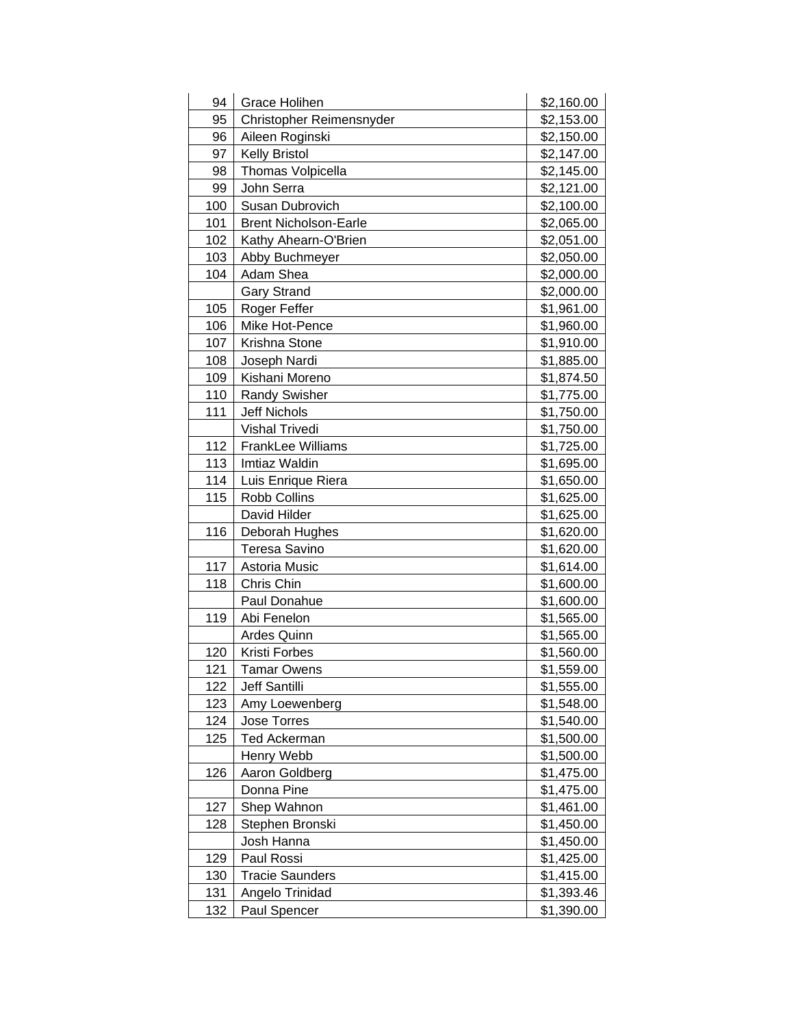| 94  | Grace Holihen                | \$2,160.00 |
|-----|------------------------------|------------|
| 95  | Christopher Reimensnyder     | \$2,153.00 |
| 96  | Aileen Roginski              | \$2,150.00 |
| 97  | <b>Kelly Bristol</b>         | \$2,147.00 |
| 98  | Thomas Volpicella            | \$2,145.00 |
| 99  | John Serra                   | \$2,121.00 |
| 100 | Susan Dubrovich              | \$2,100.00 |
| 101 | <b>Brent Nicholson-Earle</b> | \$2,065.00 |
| 102 | Kathy Ahearn-O'Brien         | \$2,051.00 |
| 103 | Abby Buchmeyer               | \$2,050.00 |
| 104 | Adam Shea                    | \$2,000.00 |
|     | <b>Gary Strand</b>           | \$2,000.00 |
| 105 | Roger Feffer                 | \$1,961.00 |
| 106 | Mike Hot-Pence               | \$1,960.00 |
| 107 | Krishna Stone                | \$1,910.00 |
| 108 | Joseph Nardi                 | \$1,885.00 |
| 109 | Kishani Moreno               | \$1,874.50 |
| 110 | <b>Randy Swisher</b>         | \$1,775.00 |
| 111 | <b>Jeff Nichols</b>          | \$1,750.00 |
|     | Vishal Trivedi               | \$1,750.00 |
| 112 | <b>FrankLee Williams</b>     | \$1,725.00 |
| 113 | Imtiaz Waldin                | \$1,695.00 |
| 114 | Luis Enrique Riera           | \$1,650.00 |
| 115 | <b>Robb Collins</b>          | \$1,625.00 |
|     | David Hilder                 | \$1,625.00 |
| 116 | Deborah Hughes               | \$1,620.00 |
|     | <b>Teresa Savino</b>         | \$1,620.00 |
| 117 | Astoria Music                | \$1,614.00 |
| 118 | Chris Chin                   | \$1,600.00 |
|     | Paul Donahue                 | \$1,600.00 |
| 119 | Abi Fenelon                  | \$1,565.00 |
|     | <b>Ardes Quinn</b>           | \$1,565.00 |
| 120 | Kristi Forbes                | \$1,560.00 |
| 121 | <b>Tamar Owens</b>           | \$1,559.00 |
| 122 | Jeff Santilli                | \$1,555.00 |
| 123 | Amy Loewenberg               | \$1,548.00 |
| 124 | Jose Torres                  | \$1,540.00 |
| 125 | <b>Ted Ackerman</b>          | \$1,500.00 |
|     | Henry Webb                   | \$1,500.00 |
| 126 | Aaron Goldberg               | \$1,475.00 |
|     | Donna Pine                   | \$1,475.00 |
| 127 | Shep Wahnon                  | \$1,461.00 |
| 128 | Stephen Bronski              | \$1,450.00 |
|     | Josh Hanna                   | \$1,450.00 |
| 129 | Paul Rossi                   | \$1,425.00 |
| 130 | <b>Tracie Saunders</b>       | \$1,415.00 |
| 131 | Angelo Trinidad              | \$1,393.46 |
| 132 | Paul Spencer                 | \$1,390.00 |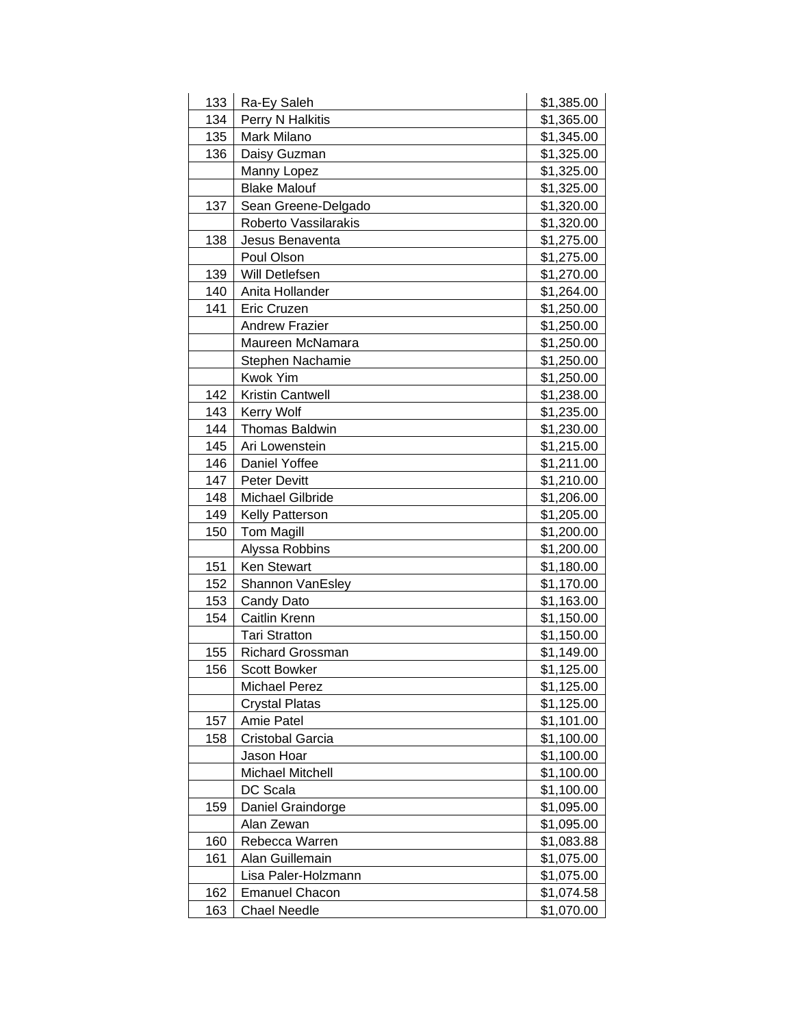| 133 | Ra-Ey Saleh             | \$1,385.00 |
|-----|-------------------------|------------|
| 134 | Perry N Halkitis        | \$1,365.00 |
| 135 | Mark Milano             | \$1,345.00 |
| 136 | Daisy Guzman            | \$1,325.00 |
|     | Manny Lopez             | \$1,325.00 |
|     | <b>Blake Malouf</b>     | \$1,325.00 |
| 137 | Sean Greene-Delgado     | \$1,320.00 |
|     | Roberto Vassilarakis    | \$1,320.00 |
| 138 | Jesus Benaventa         | \$1,275.00 |
|     | Poul Olson              | \$1,275.00 |
| 139 | Will Detlefsen          | \$1,270.00 |
| 140 | Anita Hollander         | \$1,264.00 |
| 141 | Eric Cruzen             | \$1,250.00 |
|     | <b>Andrew Frazier</b>   | \$1,250.00 |
|     | Maureen McNamara        | \$1,250.00 |
|     | Stephen Nachamie        | \$1,250.00 |
|     | <b>Kwok Yim</b>         | \$1,250.00 |
| 142 | <b>Kristin Cantwell</b> | \$1,238.00 |
| 143 | <b>Kerry Wolf</b>       | \$1,235.00 |
| 144 | Thomas Baldwin          | \$1,230.00 |
| 145 | Ari Lowenstein          | \$1,215.00 |
| 146 | Daniel Yoffee           | \$1,211.00 |
| 147 | <b>Peter Devitt</b>     | \$1,210.00 |
| 148 | <b>Michael Gilbride</b> | \$1,206.00 |
| 149 | Kelly Patterson         | \$1,205.00 |
| 150 | <b>Tom Magill</b>       | \$1,200.00 |
|     | Alyssa Robbins          | \$1,200.00 |
| 151 | Ken Stewart             | \$1,180.00 |
| 152 | Shannon VanEsley        | \$1,170.00 |
| 153 | Candy Dato              | \$1,163.00 |
| 154 | Caitlin Krenn           | \$1,150.00 |
|     | <b>Tari Stratton</b>    | \$1,150.00 |
| 155 | <b>Richard Grossman</b> | \$1,149.00 |
| 156 | <b>Scott Bowker</b>     | \$1,125.00 |
|     | <b>Michael Perez</b>    | \$1,125.00 |
|     | <b>Crystal Platas</b>   | \$1,125.00 |
| 157 | Amie Patel              | \$1,101.00 |
| 158 | Cristobal Garcia        | \$1,100.00 |
|     | Jason Hoar              | \$1,100.00 |
|     | Michael Mitchell        | \$1,100.00 |
|     | DC Scala                | \$1,100.00 |
| 159 | Daniel Graindorge       | \$1,095.00 |
|     | Alan Zewan              | \$1,095.00 |
| 160 | Rebecca Warren          | \$1,083.88 |
| 161 | Alan Guillemain         | \$1,075.00 |
|     | Lisa Paler-Holzmann     | \$1,075.00 |
| 162 | <b>Emanuel Chacon</b>   | \$1,074.58 |
| 163 | <b>Chael Needle</b>     | \$1,070.00 |